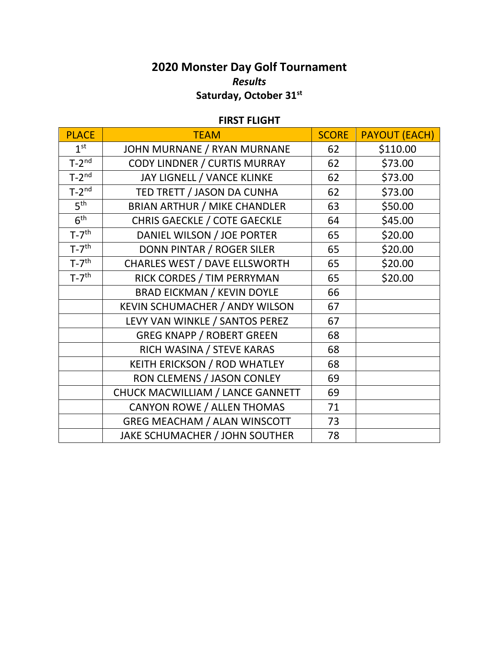## **2020 Monster Day Golf Tournament** *Results* **Saturday, October 31st**

## **FIRST FLIGHT**

| <b>PLACE</b>          | <b>TEAM</b>                         | <b>SCORE</b> | <b>PAYOUT (EACH)</b> |
|-----------------------|-------------------------------------|--------------|----------------------|
| 1 <sup>st</sup>       | JOHN MURNANE / RYAN MURNANE         | 62           | \$110.00             |
| $T-2^{nd}$            | CODY LINDNER / CURTIS MURRAY        | 62           | \$73.00              |
| $T-2^{nd}$            | JAY LIGNELL / VANCE KLINKE          | 62           | \$73.00              |
| $T-2^{nd}$            | TED TRETT / JASON DA CUNHA          | 62           | \$73.00              |
| 5 <sup>th</sup>       | <b>BRIAN ARTHUR / MIKE CHANDLER</b> | 63           | \$50.00              |
| 6 <sup>th</sup>       | <b>CHRIS GAECKLE / COTE GAECKLE</b> | 64           | \$45.00              |
| $T-7$ <sup>th</sup>   | DANIEL WILSON / JOE PORTER          | 65           | \$20.00              |
| $T-7$ <sup>th</sup>   | DONN PINTAR / ROGER SILER           | 65           | \$20.00              |
| $T-7$ <sup>th</sup>   | CHARLES WEST / DAVE ELLSWORTH       | 65           | \$20.00              |
| $T - 7$ <sup>th</sup> | RICK CORDES / TIM PERRYMAN          | 65           | \$20.00              |
|                       | <b>BRAD EICKMAN / KEVIN DOYLE</b>   | 66           |                      |
|                       | KEVIN SCHUMACHER / ANDY WILSON      | 67           |                      |
|                       | LEVY VAN WINKLE / SANTOS PEREZ      | 67           |                      |
|                       | <b>GREG KNAPP / ROBERT GREEN</b>    | 68           |                      |
|                       | RICH WASINA / STEVE KARAS           | 68           |                      |
|                       | <b>KEITH ERICKSON / ROD WHATLEY</b> | 68           |                      |
|                       | RON CLEMENS / JASON CONLEY          | 69           |                      |
|                       | CHUCK MACWILLIAM / LANCE GANNETT    | 69           |                      |
|                       | CANYON ROWE / ALLEN THOMAS          | 71           |                      |
|                       | <b>GREG MEACHAM / ALAN WINSCOTT</b> | 73           |                      |
|                       | JAKE SCHUMACHER / JOHN SOUTHER      | 78           |                      |